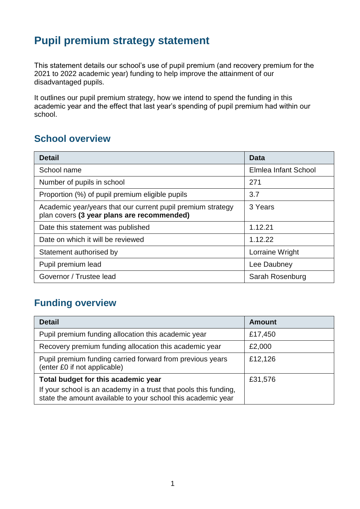# **Pupil premium strategy statement**

This statement details our school's use of pupil premium (and recovery premium for the 2021 to 2022 academic year) funding to help improve the attainment of our disadvantaged pupils.

It outlines our pupil premium strategy, how we intend to spend the funding in this academic year and the effect that last year's spending of pupil premium had within our school.

#### **School overview**

| <b>Detail</b>                                                                                             | <b>Data</b>          |
|-----------------------------------------------------------------------------------------------------------|----------------------|
| School name                                                                                               | Elmlea Infant School |
| Number of pupils in school                                                                                | 271                  |
| Proportion (%) of pupil premium eligible pupils                                                           | 3.7                  |
| Academic year/years that our current pupil premium strategy<br>plan covers (3 year plans are recommended) | 3 Years              |
| Date this statement was published                                                                         | 1.12.21              |
| Date on which it will be reviewed                                                                         | 1.12.22              |
| Statement authorised by                                                                                   | Lorraine Wright      |
| Pupil premium lead                                                                                        | Lee Daubney          |
| Governor / Trustee lead                                                                                   | Sarah Rosenburg      |

#### **Funding overview**

| <b>Detail</b>                                                                                                                    | <b>Amount</b> |
|----------------------------------------------------------------------------------------------------------------------------------|---------------|
| Pupil premium funding allocation this academic year                                                                              | £17,450       |
| Recovery premium funding allocation this academic year                                                                           | £2,000        |
| Pupil premium funding carried forward from previous years<br>(enter £0 if not applicable)                                        | £12,126       |
| Total budget for this academic year                                                                                              | £31,576       |
| If your school is an academy in a trust that pools this funding,<br>state the amount available to your school this academic year |               |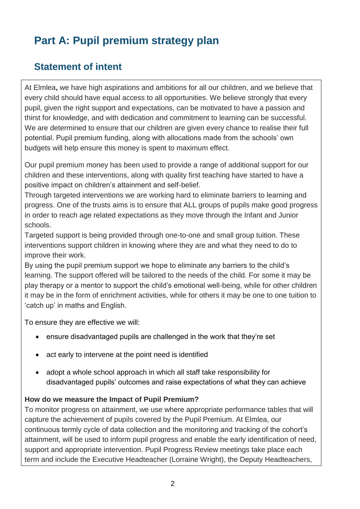# **Part A: Pupil premium strategy plan**

### **Statement of intent**

At Elmlea**,** we have high aspirations and ambitions for all our children, and we believe that every child should have equal access to all opportunities. We believe strongly that every pupil, given the right support and expectations, can be motivated to have a passion and thirst for knowledge, and with dedication and commitment to learning can be successful. We are determined to ensure that our children are given every chance to realise their full potential. Pupil premium funding, along with allocations made from the schools' own budgets will help ensure this money is spent to maximum effect.

Our pupil premium money has been used to provide a range of additional support for our children and these interventions, along with quality first teaching have started to have a positive impact on children's attainment and self-belief.

Through targeted interventions we are working hard to eliminate barriers to learning and progress. One of the trusts aims is to ensure that ALL groups of pupils make good progress in order to reach age related expectations as they move through the Infant and Junior schools.

Targeted support is being provided through one-to-one and small group tuition. These interventions support children in knowing where they are and what they need to do to improve their work.

By using the pupil premium support we hope to eliminate any barriers to the child's learning. The support offered will be tailored to the needs of the child. For some it may be play therapy or a mentor to support the child's emotional well-being, while for other children it may be in the form of enrichment activities, while for others it may be one to one tuition to 'catch up' in maths and English.

To ensure they are effective we will:

- ensure disadvantaged pupils are challenged in the work that they're set
- act early to intervene at the point need is identified
- adopt a whole school approach in which all staff take responsibility for disadvantaged pupils' outcomes and raise expectations of what they can achieve

#### **How do we measure the Impact of Pupil Premium?**

To monitor progress on attainment, we use where appropriate performance tables that will capture the achievement of pupils covered by the Pupil Premium. At Elmlea, our continuous termly cycle of data collection and the monitoring and tracking of the cohort's attainment, will be used to inform pupil progress and enable the early identification of need, support and appropriate intervention. Pupil Progress Review meetings take place each term and include the Executive Headteacher (Lorraine Wright), the Deputy Headteachers,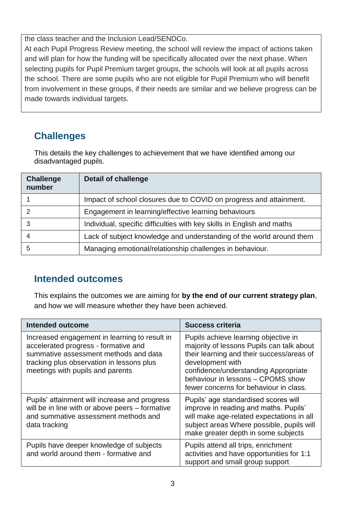the class teacher and the Inclusion Lead/SENDCo.

At each Pupil Progress Review meeting, the school will review the impact of actions taken and will plan for how the funding will be specifically allocated over the next phase. When selecting pupils for Pupil Premium target groups, the schools will look at all pupils across the school. There are some pupils who are not eligible for Pupil Premium who will benefit from involvement in these groups, if their needs are similar and we believe progress can be made towards individual targets.

## **Challenges**

This details the key challenges to achievement that we have identified among our disadvantaged pupils.

| <b>Challenge</b><br>number | <b>Detail of challenge</b>                                             |
|----------------------------|------------------------------------------------------------------------|
|                            | Impact of school closures due to COVID on progress and attainment.     |
|                            | Engagement in learning/effective learning behaviours                   |
| 3                          | Individual, specific difficulties with key skills in English and maths |
|                            | Lack of subject knowledge and understanding of the world around them   |
| 5                          | Managing emotional/relationship challenges in behaviour.               |

### **Intended outcomes**

This explains the outcomes we are aiming for **by the end of our current strategy plan**, and how we will measure whether they have been achieved.

| Intended outcome                                                                                                                                                                                                | <b>Success criteria</b>                                                                                                                                                                                                                                                   |
|-----------------------------------------------------------------------------------------------------------------------------------------------------------------------------------------------------------------|---------------------------------------------------------------------------------------------------------------------------------------------------------------------------------------------------------------------------------------------------------------------------|
| Increased engagement in learning to result in<br>accelerated progress - formative and<br>summative assessment methods and data<br>tracking plus observation in lessons plus<br>meetings with pupils and parents | Pupils achieve learning objective in<br>majority of lessons Pupils can talk about<br>their learning and their success/areas of<br>development with<br>confidence/understanding Appropriate<br>behaviour in lessons - CPOMS show<br>fewer concerns for behaviour in class. |
| Pupils' attainment will increase and progress<br>will be in line with or above peers – formative<br>and summative assessment methods and<br>data tracking                                                       | Pupils' age standardised scores will<br>improve in reading and maths. Pupils'<br>will make age-related expectations in all<br>subject areas Where possible, pupils will<br>make greater depth in some subjects                                                            |
| Pupils have deeper knowledge of subjects<br>and world around them - formative and                                                                                                                               | Pupils attend all trips, enrichment<br>activities and have opportunities for 1:1<br>support and small group support                                                                                                                                                       |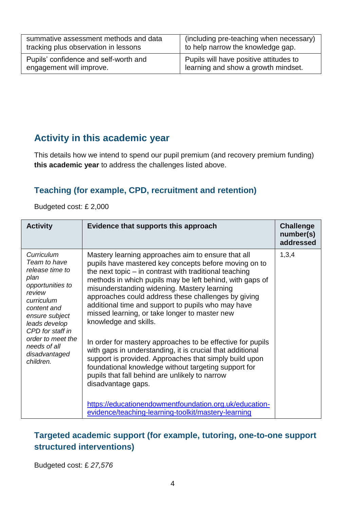| summative assessment methods and data | (including pre-teaching when necessary) |
|---------------------------------------|-----------------------------------------|
| tracking plus observation in lessons  | to help narrow the knowledge gap.       |
| Pupils' confidence and self-worth and | Pupils will have positive attitudes to  |
| engagement will improve.              | learning and show a growth mindset.     |

### **Activity in this academic year**

This details how we intend to spend our pupil premium (and recovery premium funding) **this academic year** to address the challenges listed above.

#### **Teaching (for example, CPD, recruitment and retention)**

Budgeted cost: £ 2,000

| <b>Activity</b>                                                                                                                                                                                                                            | Evidence that supports this approach                                                                                                                                                                                                                                                                                                                                                                                                                                                                                                                                                                                                                                                                                                                                                           | <b>Challenge</b><br>number(s)<br>addressed |
|--------------------------------------------------------------------------------------------------------------------------------------------------------------------------------------------------------------------------------------------|------------------------------------------------------------------------------------------------------------------------------------------------------------------------------------------------------------------------------------------------------------------------------------------------------------------------------------------------------------------------------------------------------------------------------------------------------------------------------------------------------------------------------------------------------------------------------------------------------------------------------------------------------------------------------------------------------------------------------------------------------------------------------------------------|--------------------------------------------|
| Curriculum<br>Team to have<br>release time to<br>plan<br>opportunities to<br>review<br>curriculum<br>content and<br>ensure subject<br>leads develop<br>CPD for staff in<br>order to meet the<br>needs of all<br>disadvantaged<br>children. | Mastery learning approaches aim to ensure that all<br>pupils have mastered key concepts before moving on to<br>the next topic $-$ in contrast with traditional teaching<br>methods in which pupils may be left behind, with gaps of<br>misunderstanding widening. Mastery learning<br>approaches could address these challenges by giving<br>additional time and support to pupils who may have<br>missed learning, or take longer to master new<br>knowledge and skills.<br>In order for mastery approaches to be effective for pupils<br>with gaps in understanding, it is crucial that additional<br>support is provided. Approaches that simply build upon<br>foundational knowledge without targeting support for<br>pupils that fall behind are unlikely to narrow<br>disadvantage gaps. | 1,3,4                                      |
|                                                                                                                                                                                                                                            | https://educationendowmentfoundation.org.uk/education-<br>evidence/teaching-learning-toolkit/mastery-learning                                                                                                                                                                                                                                                                                                                                                                                                                                                                                                                                                                                                                                                                                  |                                            |

#### **Targeted academic support (for example, tutoring, one-to-one support structured interventions)**

Budgeted cost: £ *27,576*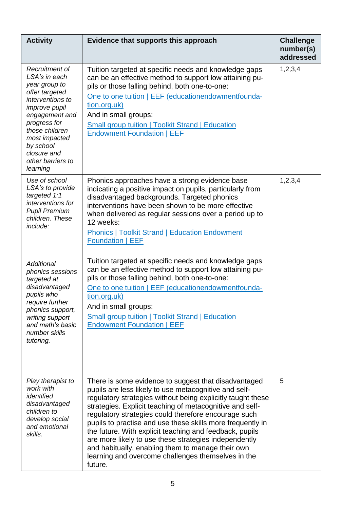| <b>Activity</b>                                                                                                                                                                                                                                                                                                                  | Evidence that supports this approach                                                                                                                                                                                                                                                                                                                                                                                                                                                                                                                                                                                                                                                                                                      | <b>Challenge</b><br>number(s)<br>addressed |
|----------------------------------------------------------------------------------------------------------------------------------------------------------------------------------------------------------------------------------------------------------------------------------------------------------------------------------|-------------------------------------------------------------------------------------------------------------------------------------------------------------------------------------------------------------------------------------------------------------------------------------------------------------------------------------------------------------------------------------------------------------------------------------------------------------------------------------------------------------------------------------------------------------------------------------------------------------------------------------------------------------------------------------------------------------------------------------------|--------------------------------------------|
| Recruitment of<br>LSA's in each<br>year group to<br>offer targeted<br>interventions to<br><i>improve pupil</i><br>engagement and<br>progress for<br>those children<br>most impacted<br>by school<br>closure and<br>other barriers to<br>learning                                                                                 | Tuition targeted at specific needs and knowledge gaps<br>can be an effective method to support low attaining pu-<br>pils or those falling behind, both one-to-one:<br>One to one tuition   EEF (educationendowmentfounda-<br>tion.org.uk)<br>And in small groups:<br><b>Small group tuition   Toolkit Strand   Education</b><br><b>Endowment Foundation   EEF</b>                                                                                                                                                                                                                                                                                                                                                                         | 1,2,3,4                                    |
| Use of school<br>LSA's to provide<br>targeted 1:1<br>interventions for<br><b>Pupil Premium</b><br>children. These<br>include:<br><b>Additional</b><br>phonics sessions<br>targeted at<br>disadvantaged<br>pupils who<br>require further<br>phonics support,<br>writing support<br>and math's basic<br>number skills<br>tutoring. | Phonics approaches have a strong evidence base<br>indicating a positive impact on pupils, particularly from<br>disadvantaged backgrounds. Targeted phonics<br>interventions have been shown to be more effective<br>when delivered as regular sessions over a period up to<br>12 weeks:<br><b>Phonics   Toolkit Strand   Education Endowment</b><br><b>Foundation   EEF</b><br>Tuition targeted at specific needs and knowledge gaps<br>can be an effective method to support low attaining pu-<br>pils or those falling behind, both one-to-one:<br>One to one tuition   EEF (educationendowmentfounda-<br>tion.org.uk)<br>And in small groups:<br>Small group tuition   Toolkit Strand   Education<br><b>Endowment Foundation   EEF</b> | 1,2,3,4                                    |
| Play therapist to<br>work with<br>identified<br>disadvantaged<br>children to<br>develop social<br>and emotional<br>skills.                                                                                                                                                                                                       | There is some evidence to suggest that disadvantaged<br>pupils are less likely to use metacognitive and self-<br>regulatory strategies without being explicitly taught these<br>strategies. Explicit teaching of metacognitive and self-<br>regulatory strategies could therefore encourage such<br>pupils to practise and use these skills more frequently in<br>the future. With explicit teaching and feedback, pupils<br>are more likely to use these strategies independently<br>and habitually, enabling them to manage their own<br>learning and overcome challenges themselves in the<br>future.                                                                                                                                  | 5                                          |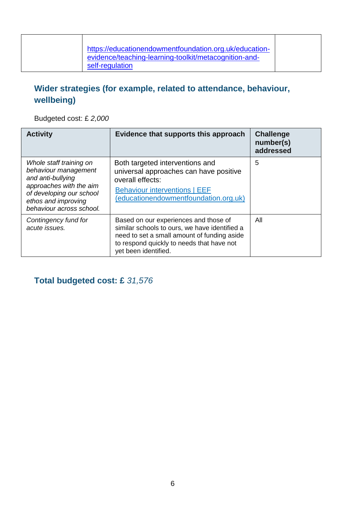#### **Wider strategies (for example, related to attendance, behaviour, wellbeing)**

Budgeted cost: £ *2,000*

| <b>Activity</b>                                                                                                                                                                | Evidence that supports this approach                                                                                                                                                                       | <b>Challenge</b><br>number(s)<br>addressed |
|--------------------------------------------------------------------------------------------------------------------------------------------------------------------------------|------------------------------------------------------------------------------------------------------------------------------------------------------------------------------------------------------------|--------------------------------------------|
| Whole staff training on<br>behaviour management<br>and anti-bullying<br>approaches with the aim<br>of developing our school<br>ethos and improving<br>behaviour across school. | Both targeted interventions and<br>universal approaches can have positive<br>overall effects:<br><b>Behaviour interventions   EEF</b><br>(educationendowmentfoundation.org.uk)                             | 5                                          |
| Contingency fund for<br>acute issues.                                                                                                                                          | Based on our experiences and those of<br>similar schools to ours, we have identified a<br>need to set a small amount of funding aside<br>to respond quickly to needs that have not<br>yet been identified. | All                                        |

#### **Total budgeted cost: £** *31,576*